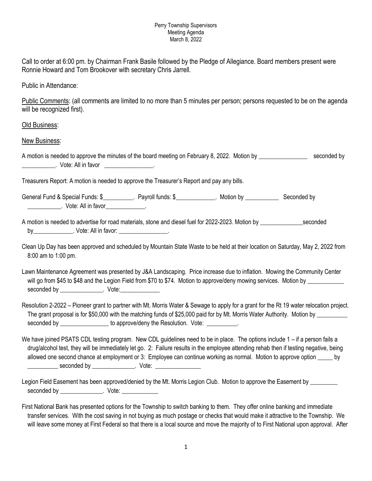## Perry Township Supervisors Meeting Agenda March 8, 2022

Call to order at 6:00 pm. by Chairman Frank Basile followed by the Pledge of Allegiance. Board members present were Ronnie Howard and Tom Brookover with secretary Chris Jarrell.

Public in Attendance:

Public Comments: (all comments are limited to no more than 5 minutes per person; persons requested to be on the agenda will be recognized first).

## Old Business:

New Business:

A motion is needed to approve the minutes of the board meeting on February 8, 2022. Motion by \_\_\_\_\_\_\_\_\_\_\_\_\_\_\_\_ seconded by \_\_\_\_\_\_\_\_\_\_\_. Vote: All in favor \_\_\_\_\_\_\_\_\_\_\_\_\_\_\_\_.

Treasurers Report: A motion is needed to approve the Treasurer's Report and pay any bills.

General Fund & Special Funds: \$\_\_\_\_\_\_\_\_\_\_. Payroll funds: \$\_\_\_\_\_\_\_\_\_\_\_\_. Motion by \_\_\_\_\_\_\_\_\_\_\_\_\_\_ Seconded by \_\_\_\_\_\_\_\_\_\_\_. Vote: All in favor\_\_\_\_\_\_\_\_\_\_\_\_\_.

A motion is needed to advertise for road materials, stone and diesel fuel for 2022-2023. Motion by seconded by example of the Vote: All in favor: when the set of the set of the set of the set of the set of the set of the set of the set of the set of the set of the set of the set of the set of the set of the set of the set of the

Clean Up Day has been approved and scheduled by Mountain State Waste to be held at their location on Saturday, May 2, 2022 from 8:00 am to 1:00 pm.

Lawn Maintenance Agreement was presented by J&A Landscaping. Price increase due to inflation. Mowing the Community Center will go from \$45 to \$48 and the Legion Field from \$70 to \$74. Motion to approve/deny mowing services. Motion by \_\_\_\_\_\_\_\_\_ seconded by example of the Vote:

Resolution 2-2022 – Pioneer grant to partner with Mt. Morris Water & Sewage to apply for a grant for the Rt 19 water relocation project. The grant proposal is for \$50,000 with the matching funds of \$25,000 paid for by Mt. Morris Water Authority. Motion by seconded by example of the approve/deny the Resolution. Vote:

We have joined PSATS CDL testing program. New CDL guidelines need to be in place. The options include 1 – if a person fails a drug/alcohol test, they will be immediately let go. 2: Failure results in the employee attending rehab then if testing negative, being allowed one second chance at employment or 3: Employee can continue working as normal. Motion to approve option \_\_\_\_\_ by \_\_\_\_\_\_\_\_\_ seconded by \_\_\_\_\_\_\_\_\_\_\_\_\_\_\_. Vote: \_\_\_\_\_\_\_\_\_\_\_\_\_\_\_\_\_\_\_\_\_\_\_\_\_\_\_\_\_\_\_\_\_\_\_

Legion Field Easement has been approved/denied by the Mt. Morris Legion Club. Motion to approve the Easement by seconded by \_\_\_\_\_\_\_\_\_\_\_\_\_\_. Vote: \_\_\_\_\_\_\_\_\_\_\_\_

First National Bank has presented options for the Township to switch banking to them. They offer online banking and immediate transfer services. With the cost saving in not buying as much postage or checks that would make it attractive to the Township. We will leave some money at First Federal so that there is a local source and move the majority of to First National upon approval. After